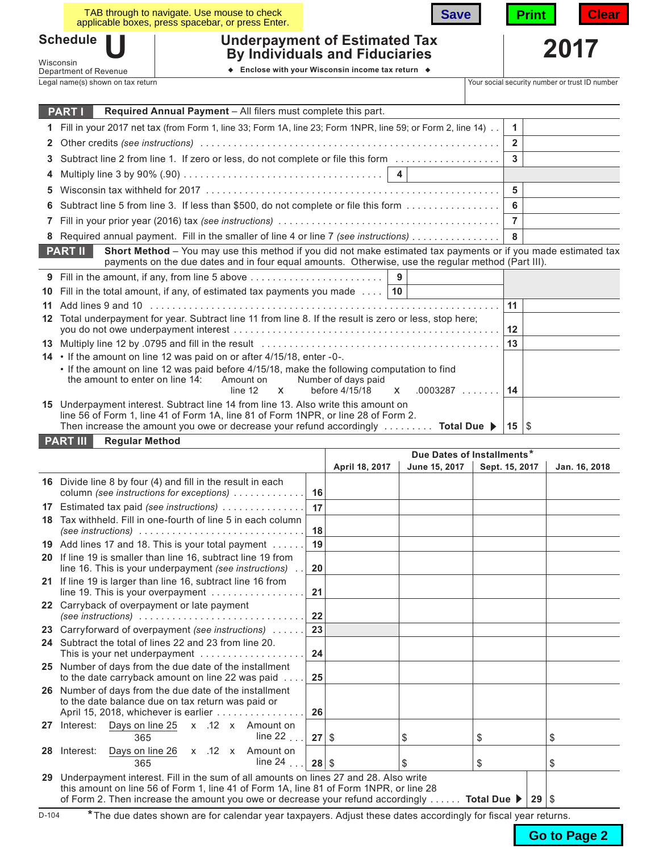|                                                                                                               |                                                                                                                                                                                                                                                                                                             | TAB through to navigate. Use mouse to check<br>applicable boxes, press spacebar, or press Enter.            |  | <b>Save</b>                |                | Print          | Clear |  |
|---------------------------------------------------------------------------------------------------------------|-------------------------------------------------------------------------------------------------------------------------------------------------------------------------------------------------------------------------------------------------------------------------------------------------------------|-------------------------------------------------------------------------------------------------------------|--|----------------------------|----------------|----------------|-------|--|
| <b>Schedule</b><br><b>Underpayment of Estimated Tax</b><br><b>By Individuals and Fiduciaries</b><br>Wisconsin |                                                                                                                                                                                                                                                                                                             |                                                                                                             |  |                            |                |                | 2017  |  |
|                                                                                                               | Department of Revenue                                                                                                                                                                                                                                                                                       | ♦ Enclose with your Wisconsin income tax return ♦                                                           |  |                            |                |                |       |  |
|                                                                                                               | Legal name(s) shown on tax return<br>Your social security number or trust ID number                                                                                                                                                                                                                         |                                                                                                             |  |                            |                |                |       |  |
|                                                                                                               |                                                                                                                                                                                                                                                                                                             |                                                                                                             |  |                            |                |                |       |  |
|                                                                                                               | <b>PART I</b>                                                                                                                                                                                                                                                                                               | Required Annual Payment - All filers must complete this part.                                               |  |                            |                |                |       |  |
|                                                                                                               | Fill in your 2017 net tax (from Form 1, line 33; Form 1A, line 23; Form 1NPR, line 59; or Form 2, line 14)<br>1.                                                                                                                                                                                            |                                                                                                             |  |                            |                |                |       |  |
| 2                                                                                                             |                                                                                                                                                                                                                                                                                                             |                                                                                                             |  |                            | $\overline{2}$ |                |       |  |
| 3                                                                                                             | Subtract line 2 from line 1. If zero or less, do not complete or file this form                                                                                                                                                                                                                             |                                                                                                             |  |                            | $\mathbf{3}$   |                |       |  |
|                                                                                                               |                                                                                                                                                                                                                                                                                                             | Multiply line 3 by 90% (.90) $\ldots \ldots \ldots \ldots \ldots \ldots \ldots \ldots \ldots \ldots \ldots$ |  |                            |                |                |       |  |
| 5                                                                                                             |                                                                                                                                                                                                                                                                                                             |                                                                                                             |  |                            | 5              |                |       |  |
|                                                                                                               | Subtract line 5 from line 3. If less than \$500, do not complete or file this form                                                                                                                                                                                                                          |                                                                                                             |  |                            |                |                |       |  |
| 7                                                                                                             |                                                                                                                                                                                                                                                                                                             |                                                                                                             |  |                            |                | $\overline{7}$ |       |  |
|                                                                                                               | Required annual payment. Fill in the smaller of line 4 or line 7 (see instructions)                                                                                                                                                                                                                         |                                                                                                             |  |                            |                |                |       |  |
|                                                                                                               | Short Method - You may use this method if you did not make estimated tax payments or if you made estimated tax<br><b>PART II</b><br>payments on the due dates and in four equal amounts. Otherwise, use the regular method (Part III).                                                                      |                                                                                                             |  |                            |                |                |       |  |
|                                                                                                               | 9 Fill in the amount, if any, from line 5 above<br>9                                                                                                                                                                                                                                                        |                                                                                                             |  |                            |                |                |       |  |
| 10                                                                                                            | Fill in the total amount, if any, of estimated tax payments you made $\dots$   10                                                                                                                                                                                                                           |                                                                                                             |  |                            |                |                |       |  |
| 11                                                                                                            |                                                                                                                                                                                                                                                                                                             |                                                                                                             |  |                            | 11             |                |       |  |
| 12                                                                                                            | Total underpayment for year. Subtract line 11 from line 8. If the result is zero or less, stop here;                                                                                                                                                                                                        |                                                                                                             |  |                            |                |                |       |  |
|                                                                                                               |                                                                                                                                                                                                                                                                                                             |                                                                                                             |  |                            |                |                |       |  |
|                                                                                                               | 14 • If the amount on line 12 was paid on or after 4/15/18, enter -0-.<br>. If the amount on line 12 was paid before 4/15/18, make the following computation to find<br>the amount to enter on line 14:<br>Number of days paid<br>Amount on<br>before 4/15/18<br>$.0003287$<br>line 12<br>$\mathsf{X}$<br>X |                                                                                                             |  |                            |                |                |       |  |
|                                                                                                               | 15 Underpayment interest. Subtract line 14 from line 13. Also write this amount on<br>line 56 of Form 1, line 41 of Form 1A, line 81 of Form 1NPR, or line 28 of Form 2.<br>Then increase the amount you owe or decrease your refund accordingly $\dots \dots$ Total Due<br>$15 \,   \,$ \$                 |                                                                                                             |  |                            |                |                |       |  |
|                                                                                                               | <b>Regular Method</b><br><b>PART III</b>                                                                                                                                                                                                                                                                    |                                                                                                             |  |                            |                |                |       |  |
|                                                                                                               |                                                                                                                                                                                                                                                                                                             |                                                                                                             |  | Due Dates of Installments* |                |                |       |  |

|    |                                                                                                                                                                                                                                                                              |         | April 18, 2017 | June 15, 2017 | Sept. 15, 2017    | Jan. 16, 2018 |
|----|------------------------------------------------------------------------------------------------------------------------------------------------------------------------------------------------------------------------------------------------------------------------------|---------|----------------|---------------|-------------------|---------------|
|    | 16 Divide line 8 by four (4) and fill in the result in each<br>column (see instructions for exceptions)                                                                                                                                                                      | 16      |                |               |                   |               |
| 17 | Estimated tax paid (see instructions)                                                                                                                                                                                                                                        | 17      |                |               |                   |               |
|    | 18 Tax withheld. Fill in one-fourth of line 5 in each column<br>(see instructions) $\ldots \ldots \ldots \ldots \ldots \ldots \ldots \ldots \ldots$                                                                                                                          | 18      |                |               |                   |               |
|    | 19 Add lines 17 and 18. This is your total payment                                                                                                                                                                                                                           | 19      |                |               |                   |               |
|    | 20 If line 19 is smaller than line 16, subtract line 19 from<br>line 16. This is your underpayment (see instructions)                                                                                                                                                        | 20      |                |               |                   |               |
|    | 21 If line 19 is larger than line 16, subtract line 16 from<br>line 19. This is your overpayment                                                                                                                                                                             | 21      |                |               |                   |               |
|    | 22 Carryback of overpayment or late payment<br>(see instructions) $\ldots \ldots \ldots \ldots \ldots \ldots \ldots \ldots \ldots$                                                                                                                                           | 22      |                |               |                   |               |
|    | 23 Carryforward of overpayment (see instructions)                                                                                                                                                                                                                            | 23      |                |               |                   |               |
|    | 24 Subtract the total of lines 22 and 23 from line 20.<br>This is your net underpayment                                                                                                                                                                                      | 24      |                |               |                   |               |
|    | 25 Number of days from the due date of the installment<br>to the date carryback amount on line 22 was paid                                                                                                                                                                   | 25      |                |               |                   |               |
|    | 26 Number of days from the due date of the installment<br>to the date balance due on tax return was paid or<br>April 15, 2018, whichever is earlier                                                                                                                          | 26      |                |               |                   |               |
| 27 | Interest: Days on line 25 x .12 x Amount on<br>line 22 $\ldots$<br>365                                                                                                                                                                                                       | 27S     |                | \$            | \$                | S             |
| 28 | Days on line 26 x .12 x Amount on<br>Interest:<br>line 24 $\ldots$<br>365                                                                                                                                                                                                    | $28$ \$ |                | \$            | \$                | \$            |
| 29 | Underpayment interest. Fill in the sum of all amounts on lines 27 and 28. Also write<br>this amount on line 56 of Form 1, line 41 of Form 1A, line 81 of Form 1NPR, or line 28<br>of Form 2. Then increase the amount you owe or decrease your refund accordingly  Total Due |         |                |               | $29 \, \degree \$ |               |

D-104 \*The due dates shown are for calendar year taxpayers. Adjust these dates accordingly for fiscal year returns.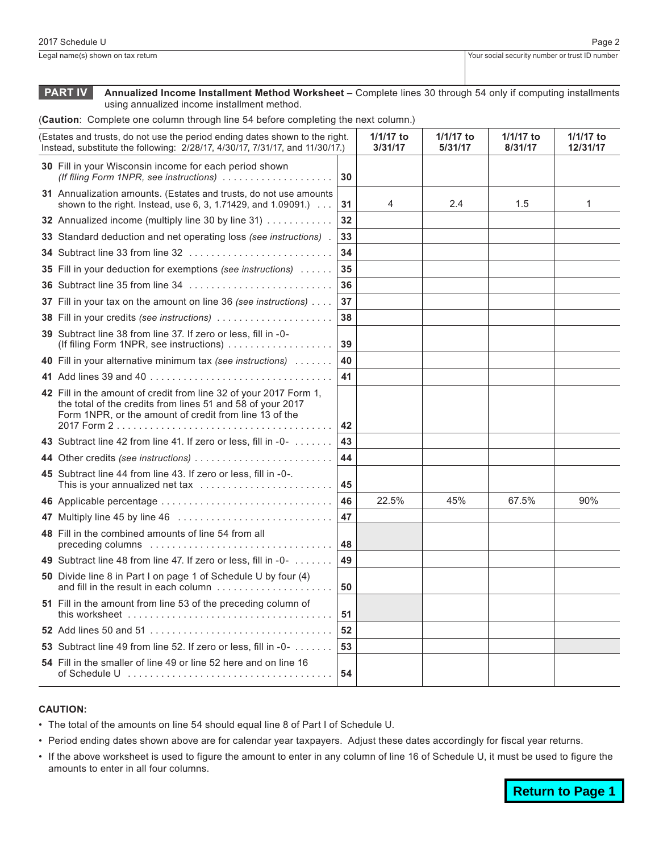**PART IV Annualized Income Installment Method Worksheet** – Complete lines 30 through 54 only if computing installments using annualized income installment method.

(**Caution**: Complete one column through line 54 before completing the next column.)

| (Estates and trusts, do not use the period ending dates shown to the right.<br>Instead, substitute the following: 2/28/17, 4/30/17, 7/31/17, and 11/30/17.) |                                                                                                                                                                                           |    | $1/1/17$ to<br>3/31/17 | $1/1/17$ to<br>5/31/17 | 1/1/17 to<br>8/31/17 | 1/1/17 to<br>12/31/17 |
|-------------------------------------------------------------------------------------------------------------------------------------------------------------|-------------------------------------------------------------------------------------------------------------------------------------------------------------------------------------------|----|------------------------|------------------------|----------------------|-----------------------|
|                                                                                                                                                             | 30 Fill in your Wisconsin income for each period shown<br>(If filing Form 1NPR, see instructions)                                                                                         | 30 |                        |                        |                      |                       |
|                                                                                                                                                             | 31 Annualization amounts. (Estates and trusts, do not use amounts<br>shown to the right. Instead, use $6, 3, 1.71429$ , and $1.09091$ .                                                   | 31 | 4                      | 2.4                    | 1.5                  | 1                     |
|                                                                                                                                                             | 32 Annualized income (multiply line 30 by line 31)                                                                                                                                        | 32 |                        |                        |                      |                       |
|                                                                                                                                                             | 33 Standard deduction and net operating loss (see instructions).                                                                                                                          | 33 |                        |                        |                      |                       |
|                                                                                                                                                             |                                                                                                                                                                                           | 34 |                        |                        |                      |                       |
|                                                                                                                                                             | <b>35</b> Fill in your deduction for exemptions (see instructions)                                                                                                                        | 35 |                        |                        |                      |                       |
|                                                                                                                                                             | 36 Subtract line 35 from line 34                                                                                                                                                          | 36 |                        |                        |                      |                       |
|                                                                                                                                                             | 37 Fill in your tax on the amount on line 36 (see instructions)                                                                                                                           | 37 |                        |                        |                      |                       |
|                                                                                                                                                             | 38 Fill in your credits (see instructions)                                                                                                                                                | 38 |                        |                        |                      |                       |
|                                                                                                                                                             | 39 Subtract line 38 from line 37. If zero or less, fill in -0-<br>(If filing Form 1NPR, see instructions)                                                                                 | 39 |                        |                        |                      |                       |
|                                                                                                                                                             | 40 Fill in your alternative minimum tax (see instructions)                                                                                                                                | 40 |                        |                        |                      |                       |
|                                                                                                                                                             |                                                                                                                                                                                           | 41 |                        |                        |                      |                       |
|                                                                                                                                                             | 42 Fill in the amount of credit from line 32 of your 2017 Form 1,<br>the total of the credits from lines 51 and 58 of your 2017<br>Form 1NPR, or the amount of credit from line 13 of the | 42 |                        |                        |                      |                       |
|                                                                                                                                                             | 43 Subtract line 42 from line 41. If zero or less, fill in -0-                                                                                                                            | 43 |                        |                        |                      |                       |
|                                                                                                                                                             | 44 Other credits (see instructions)                                                                                                                                                       | 44 |                        |                        |                      |                       |
|                                                                                                                                                             | 45 Subtract line 44 from line 43. If zero or less, fill in -0-.<br>This is your annualized net tax                                                                                        | 45 |                        |                        |                      |                       |
|                                                                                                                                                             | 46 Applicable percentage                                                                                                                                                                  | 46 | 22.5%                  | 45%                    | 67.5%                | 90%                   |
|                                                                                                                                                             |                                                                                                                                                                                           | 47 |                        |                        |                      |                       |
|                                                                                                                                                             | 48 Fill in the combined amounts of line 54 from all                                                                                                                                       | 48 |                        |                        |                      |                       |
|                                                                                                                                                             | 49 Subtract line 48 from line 47. If zero or less, fill in -0-                                                                                                                            | 49 |                        |                        |                      |                       |
|                                                                                                                                                             | 50 Divide line 8 in Part I on page 1 of Schedule U by four (4)<br>and fill in the result in each column                                                                                   | 50 |                        |                        |                      |                       |
|                                                                                                                                                             | 51 Fill in the amount from line 53 of the preceding column of                                                                                                                             | 51 |                        |                        |                      |                       |
|                                                                                                                                                             |                                                                                                                                                                                           | 52 |                        |                        |                      |                       |
|                                                                                                                                                             | 53 Subtract line 49 from line 52. If zero or less, fill in -0-                                                                                                                            | 53 |                        |                        |                      |                       |
|                                                                                                                                                             | 54 Fill in the smaller of line 49 or line 52 here and on line 16                                                                                                                          | 54 |                        |                        |                      |                       |

## **CAUTION:**

- The total of the amounts on line 54 should equal line 8 of Part I of Schedule U.
- Period ending dates shown above are for calendar year taxpayers. Adjust these dates accordingly for fiscal year returns.
- • If the above worksheet is used to figure the amount to enter in any column of line 16 of Schedule U, it must be used to figure the amounts to enter in all four columns.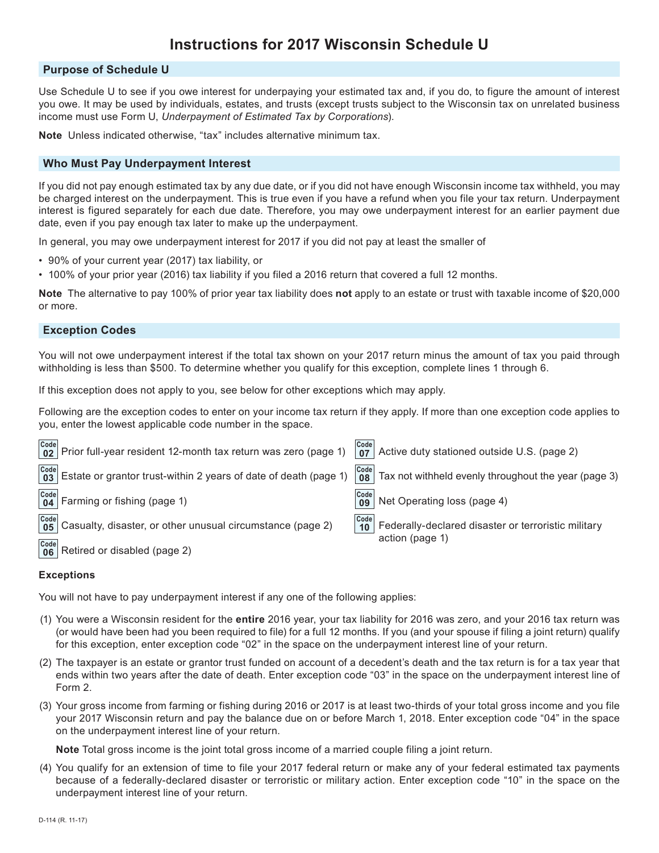# **Instructions for 2017 Wisconsin Schedule U**

## **Purpose of Schedule U**

Use Schedule U to see if you owe interest for underpaying your estimated tax and, if you do, to figure the amount of interest you owe. It may be used by individuals, estates, and trusts (except trusts subject to the Wisconsin tax on unrelated business income must use Form U, *Underpayment of Estimated Tax by Corporations*).

**Note** Unless indicated otherwise, "tax" includes alternative minimum tax.

## **Who Must Pay Underpayment Interest**

If you did not pay enough estimated tax by any due date, or if you did not have enough Wisconsin income tax withheld, you may be charged interest on the underpayment. This is true even if you have a refund when you file your tax return. Underpayment interest is figured separately for each due date. Therefore, you may owe underpayment interest for an earlier payment due date, even if you pay enough tax later to make up the underpayment.

In general, you may owe underpayment interest for 2017 if you did not pay at least the smaller of

- 90% of your current year (2017) tax liability, or
- 100% of your prior year (2016) tax liability if you filed a 2016 return that covered a full 12 months.

**Note** The alternative to pay 100% of prior year tax liability does **not** apply to an estate or trust with taxable income of \$20,000 or more.

## **Exception Codes**

You will not owe underpayment interest if the total tax shown on your 2017 return minus the amount of tax you paid through withholding is less than \$500. To determine whether you qualify for this exception, complete lines 1 through 6.

If this exception does not apply to you, see below for other exceptions which may apply.

Following are the exception codes to enter on your income tax return if they apply. If more than one exception code applies to you, enter the lowest applicable code number in the space.

|                                        | $\begin{vmatrix} \text{Code} \\ \text{02} \end{vmatrix}$ Prior full-year resident 12-month tax return was zero (page 1) |                                                                      | $\begin{bmatrix} \text{Code} \\ \text{07} \end{bmatrix}$ Active duty stationed outside U.S. (page 2) |
|----------------------------------------|-------------------------------------------------------------------------------------------------------------------------|----------------------------------------------------------------------|------------------------------------------------------------------------------------------------------|
|                                        | $\frac{[Code]}{03}$ Estate or grantor trust-within 2 years of date of death (page 1)                                    | Code<br>08 <sup>1</sup>                                              | $\vert$ Tax not withheld evenly throughout the year (page 3)                                         |
|                                        | $\begin{array}{ c c c }\n\hline\n\text{Code} & \text{Farming or fishing (page 1)}\n\end{array}$                         | $\begin{array}{ c c }\n\hline\n\text{Code} & \text{09}\n\end{array}$ | Net Operating loss (page 4)                                                                          |
| $\overline{\text{Code}}$<br>05<br>Code | Casualty, disaster, or other unusual circumstance (page 2)                                                              | Code<br>10 <sup>1</sup>                                              | Federally-declared disaster or terroristic military<br>action (page 1)                               |

Retired or disabled (page 2) **Code 06**

#### **Exceptions**

You will not have to pay underpayment interest if any one of the following applies:

- (1) You were a Wisconsin resident for the **entire** 2016 year, your tax liability for 2016 was zero, and your 2016 tax return was (or would have been had you been required to file) for a full 12 months. If you (and your spouse if filing a joint return) qualify for this exception, enter exception code "02" in the space on the underpayment interest line of your return.
- (2) The taxpayer is an estate or grantor trust funded on account of a decedent's death and the tax return is for a tax year that ends within two years after the date of death. Enter exception code "03" in the space on the underpayment interest line of Form 2.
- (3) Your gross income from farming or fishing during 2016 or 2017 is at least two-thirds of your total gross income and you file your 2017 Wisconsin return and pay the balance due on or before March 1, 2018. Enter exception code "04" in the space on the underpayment interest line of your return.

**Note** Total gross income is the joint total gross income of a married couple filing a joint return.

(4) You qualify for an extension of time to file your 2017 federal return or make any of your federal estimated tax payments because of a federally-declared disaster or terroristic or military action. Enter exception code "10" in the space on the underpayment interest line of your return.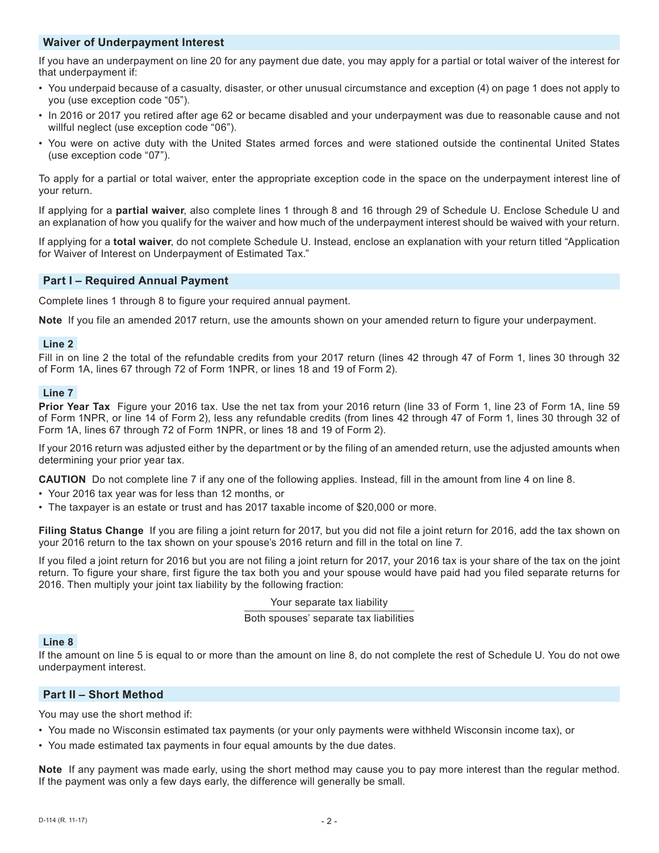# **Waiver of Underpayment Interest**

If you have an underpayment on line 20 for any payment due date, you may apply for a partial or total waiver of the interest for that underpayment if:

- You underpaid because of a casualty, disaster, or other unusual circumstance and exception (4) on page 1 does not apply to you (use exception code "05").
- In 2016 or 2017 you retired after age 62 or became disabled and your underpayment was due to reasonable cause and not willful neglect (use exception code "06").
- You were on active duty with the United States armed forces and were stationed outside the continental United States (use exception code "07").

To apply for a partial or total waiver, enter the appropriate exception code in the space on the underpayment interest line of your return.

If applying for a **partial waiver**, also complete lines 1 through 8 and 16 through 29 of Schedule U. Enclose Schedule U and an explanation of how you qualify for the waiver and how much of the underpayment interest should be waived with your return.

If applying for a **total waiver**, do not complete Schedule U. Instead, enclose an explanation with your return titled "Application for Waiver of Interest on Underpayment of Estimated Tax."

# **Part I – Required Annual Payment**

Complete lines 1 through 8 to figure your required annual payment.

**Note** If you file an amended 2017 return, use the amounts shown on your amended return to figure your underpayment.

## **Line 2**

Fill in on line 2 the total of the refundable credits from your 2017 return (lines 42 through 47 of Form 1, lines 30 through 32 of Form 1A, lines 67 through 72 of Form 1NPR, or lines 18 and 19 of Form 2).

# **Line 7**

**Prior Year Tax** Figure your 2016 tax. Use the net tax from your 2016 return (line 33 of Form 1, line 23 of Form 1A, line 59 of Form 1NPR, or line 14 of Form 2), less any refundable credits (from lines 42 through 47 of Form 1, lines 30 through 32 of Form 1A, lines 67 through 72 of Form 1NPR, or lines 18 and 19 of Form 2).

If your 2016 return was adjusted either by the department or by the filing of an amended return, use the adjusted amounts when determining your prior year tax.

**CAUTION** Do not complete line 7 if any one of the following applies. Instead, fill in the amount from line 4 on line 8.

- Your 2016 tax year was for less than 12 months, or
- The taxpayer is an estate or trust and has 2017 taxable income of \$20,000 or more.

**Filing Status Change** If you are filing a joint return for 2017, but you did not file a joint return for 2016, add the tax shown on your 2016 return to the tax shown on your spouse's 2016 return and fill in the total on line 7.

If you filed a joint return for 2016 but you are not filing a joint return for 2017, your 2016 tax is your share of the tax on the joint return. To figure your share, first figure the tax both you and your spouse would have paid had you filed separate returns for 2016. Then multiply your joint tax liability by the following fraction:

#### Your separate tax liability

Both spouses' separate tax liabilities

# **Line 8**

If the amount on line 5 is equal to or more than the amount on line 8, do not complete the rest of Schedule U. You do not owe underpayment interest.

# **Part II – Short Method**

You may use the short method if:

- You made no Wisconsin estimated tax payments (or your only payments were withheld Wisconsin income tax), or
- You made estimated tax payments in four equal amounts by the due dates.

**Note** If any payment was made early, using the short method may cause you to pay more interest than the regular method. If the payment was only a few days early, the difference will generally be small.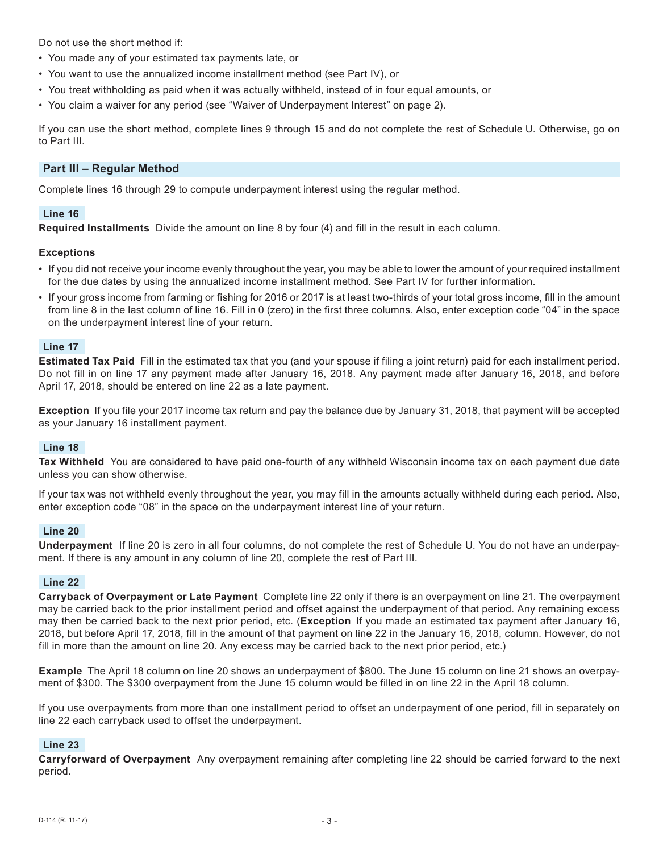Do not use the short method if:

- You made any of your estimated tax payments late, or
- You want to use the annualized income installment method (see Part IV), or
- You treat withholding as paid when it was actually withheld, instead of in four equal amounts, or
- You claim a waiver for any period (see "Waiver of Underpayment Interest" on page 2).

If you can use the short method, complete lines 9 through 15 and do not complete the rest of Schedule U. Otherwise, go on to Part III.

# **Part III – Regular Method**

Complete lines 16 through 29 to compute underpayment interest using the regular method.

# **Line 16**

**Required Installments** Divide the amount on line 8 by four (4) and fill in the result in each column.

# **Exceptions**

- If you did not receive your income evenly throughout the year, you may be able to lower the amount of your required installment for the due dates by using the annualized income installment method. See Part IV for further information.
- If your gross income from farming or fishing for 2016 or 2017 is at least two-thirds of your total gross income, fill in the amount from line 8 in the last column of line 16. Fill in 0 (zero) in the first three columns. Also, enter exception code "04" in the space on the underpayment interest line of your return.

## **Line 17**

**Estimated Tax Paid** Fill in the estimated tax that you (and your spouse if filing a joint return) paid for each installment period. Do not fill in on line 17 any payment made after January 16, 2018. Any payment made after January 16, 2018, and before April 17, 2018, should be entered on line 22 as a late payment.

**Exception** If you file your 2017 income tax return and pay the balance due by January 31, 2018, that payment will be accepted as your January 16 installment payment.

# **Line 18**

**Tax Withheld** You are considered to have paid one-fourth of any withheld Wisconsin income tax on each payment due date unless you can show otherwise.

If your tax was not withheld evenly throughout the year, you may fill in the amounts actually withheld during each period. Also, enter exception code "08" in the space on the underpayment interest line of your return.

#### **Line 20**

**Underpayment** If line 20 is zero in all four columns, do not complete the rest of Schedule U. You do not have an underpayment. If there is any amount in any column of line 20, complete the rest of Part III.

#### **Line 22**

**Carryback of Overpayment or Late Payment** Complete line 22 only if there is an overpayment on line 21. The overpayment may be carried back to the prior installment period and offset against the underpayment of that period. Any remaining excess may then be carried back to the next prior period, etc. (**Exception** If you made an estimated tax payment after January 16, 2018, but before April 17, 2018, fill in the amount of that payment on line 22 in the January 16, 2018, column. However, do not fill in more than the amount on line 20. Any excess may be carried back to the next prior period, etc.)

**Example** The April 18 column on line 20 shows an underpayment of \$800. The June 15 column on line 21 shows an overpayment of \$300. The \$300 overpayment from the June 15 column would be filled in on line 22 in the April 18 column.

If you use overpayments from more than one installment period to offset an underpayment of one period, fill in separately on line 22 each carryback used to offset the underpayment.

# **Line 23**

**Carryforward of Overpayment** Any overpayment remaining after completing line 22 should be carried forward to the next period.